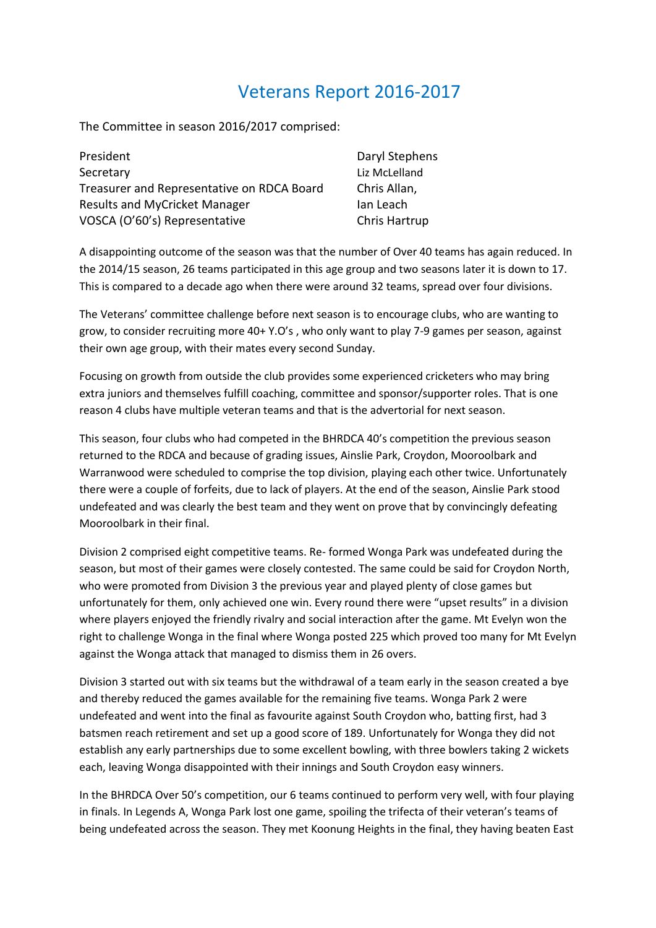## Veterans Report 2016-2017

The Committee in season 2016/2017 comprised:

| President                                  | Daryl Stephens |
|--------------------------------------------|----------------|
| Secretary                                  | Liz McLelland  |
| Treasurer and Representative on RDCA Board | Chris Allan,   |
| Results and MyCricket Manager              | Ian Leach      |
| VOSCA (O'60's) Representative              | Chris Hartrup  |

A disappointing outcome of the season was that the number of Over 40 teams has again reduced. In the 2014/15 season, 26 teams participated in this age group and two seasons later it is down to 17. This is compared to a decade ago when there were around 32 teams, spread over four divisions.

The Veterans' committee challenge before next season is to encourage clubs, who are wanting to grow, to consider recruiting more 40+ Y.O's , who only want to play 7-9 games per season, against their own age group, with their mates every second Sunday.

Focusing on growth from outside the club provides some experienced cricketers who may bring extra juniors and themselves fulfill coaching, committee and sponsor/supporter roles. That is one reason 4 clubs have multiple veteran teams and that is the advertorial for next season.

This season, four clubs who had competed in the BHRDCA 40's competition the previous season returned to the RDCA and because of grading issues, Ainslie Park, Croydon, Mooroolbark and Warranwood were scheduled to comprise the top division, playing each other twice. Unfortunately there were a couple of forfeits, due to lack of players. At the end of the season, Ainslie Park stood undefeated and was clearly the best team and they went on prove that by convincingly defeating Mooroolbark in their final.

Division 2 comprised eight competitive teams. Re- formed Wonga Park was undefeated during the season, but most of their games were closely contested. The same could be said for Croydon North, who were promoted from Division 3 the previous year and played plenty of close games but unfortunately for them, only achieved one win. Every round there were "upset results" in a division where players enjoyed the friendly rivalry and social interaction after the game. Mt Evelyn won the right to challenge Wonga in the final where Wonga posted 225 which proved too many for Mt Evelyn against the Wonga attack that managed to dismiss them in 26 overs.

Division 3 started out with six teams but the withdrawal of a team early in the season created a bye and thereby reduced the games available for the remaining five teams. Wonga Park 2 were undefeated and went into the final as favourite against South Croydon who, batting first, had 3 batsmen reach retirement and set up a good score of 189. Unfortunately for Wonga they did not establish any early partnerships due to some excellent bowling, with three bowlers taking 2 wickets each, leaving Wonga disappointed with their innings and South Croydon easy winners.

In the BHRDCA Over 50's competition, our 6 teams continued to perform very well, with four playing in finals. In Legends A, Wonga Park lost one game, spoiling the trifecta of their veteran's teams of being undefeated across the season. They met Koonung Heights in the final, they having beaten East